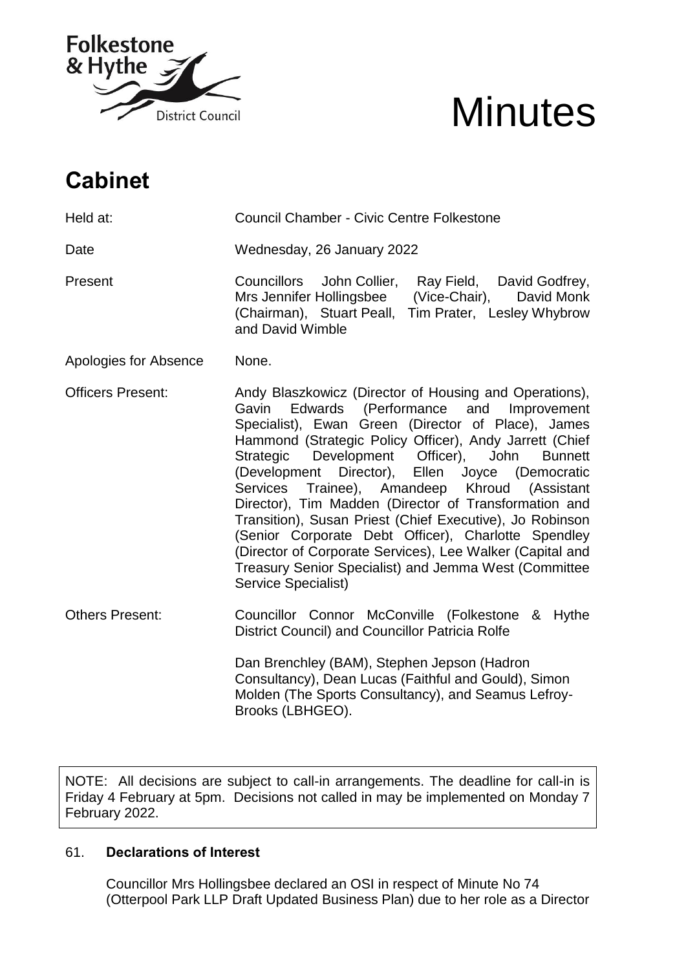

# **Minutes**

# **Cabinet**

Held at: Council Chamber - Civic Centre Folkestone Date Wednesday, 26 January 2022 Present Councillors John Collier, Ray Field, David Godfrey, Mrs Jennifer Hollingsbee (Vice-Chair), David Monk (Chairman), Stuart Peall, Tim Prater, Lesley Whybrow and David Wimble Apologies for Absence None. Officers Present: Andy Blaszkowicz (Director of Housing and Operations), Gavin Edwards (Performance and Improvement Specialist), Ewan Green (Director of Place), James Hammond (Strategic Policy Officer), Andy Jarrett (Chief Strategic Development Officer), John Bunnett (Development Director), Ellen Joyce (Democratic Services Trainee), Amandeep Khroud (Assistant Director), Tim Madden (Director of Transformation and Transition), Susan Priest (Chief Executive), Jo Robinson (Senior Corporate Debt Officer), Charlotte Spendley (Director of Corporate Services), Lee Walker (Capital and Treasury Senior Specialist) and Jemma West (Committee Service Specialist) Others Present: Councillor Connor McConville (Folkestone & Hythe District Council) and Councillor Patricia Rolfe Dan Brenchley (BAM), Stephen Jepson (Hadron

Consultancy), Dean Lucas (Faithful and Gould), Simon Molden (The Sports Consultancy), and Seamus Lefroy-Brooks (LBHGEO).

NOTE: All decisions are subject to call-in arrangements. The deadline for call-in is Friday 4 February at 5pm. Decisions not called in may be implemented on Monday 7 February 2022.

# 61. **Declarations of Interest**

Councillor Mrs Hollingsbee declared an OSI in respect of Minute No 74 (Otterpool Park LLP Draft Updated Business Plan) due to her role as a Director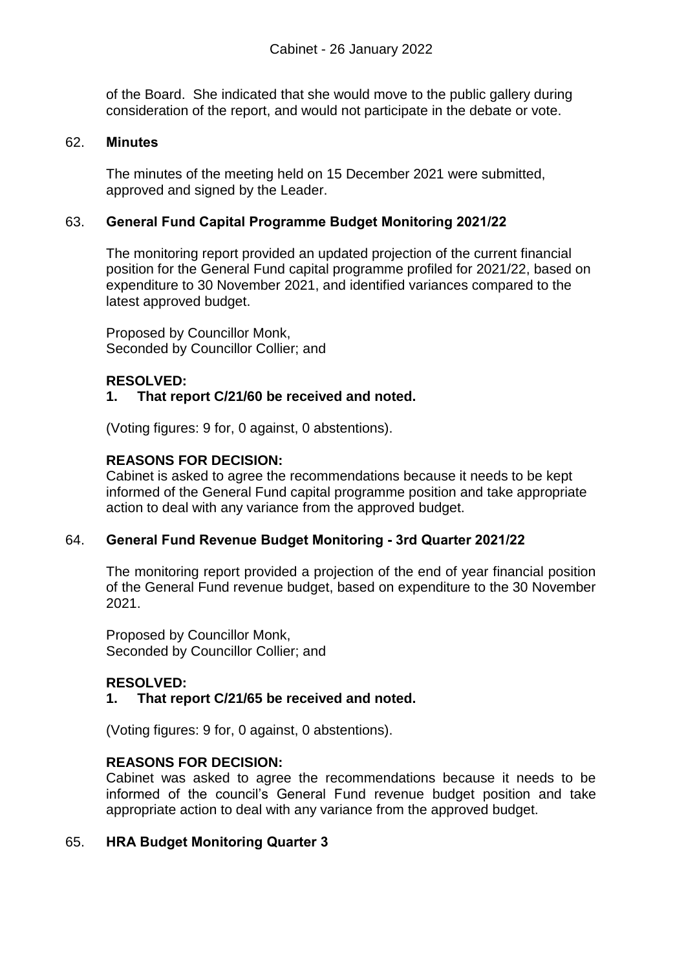of the Board. She indicated that she would move to the public gallery during consideration of the report, and would not participate in the debate or vote.

#### 62. **Minutes**

The minutes of the meeting held on 15 December 2021 were submitted, approved and signed by the Leader.

# 63. **General Fund Capital Programme Budget Monitoring 2021/22**

The monitoring report provided an updated projection of the current financial position for the General Fund capital programme profiled for 2021/22, based on expenditure to 30 November 2021, and identified variances compared to the latest approved budget.

Proposed by Councillor Monk, Seconded by Councillor Collier; and

# **RESOLVED:**

# **1. That report C/21/60 be received and noted.**

(Voting figures: 9 for, 0 against, 0 abstentions).

# **REASONS FOR DECISION:**

Cabinet is asked to agree the recommendations because it needs to be kept informed of the General Fund capital programme position and take appropriate action to deal with any variance from the approved budget.

### 64. **General Fund Revenue Budget Monitoring - 3rd Quarter 2021/22**

The monitoring report provided a projection of the end of year financial position of the General Fund revenue budget, based on expenditure to the 30 November 2021.

Proposed by Councillor Monk, Seconded by Councillor Collier; and

# **RESOLVED:**

# **1. That report C/21/65 be received and noted.**

(Voting figures: 9 for, 0 against, 0 abstentions).

### **REASONS FOR DECISION:**

Cabinet was asked to agree the recommendations because it needs to be informed of the council's General Fund revenue budget position and take appropriate action to deal with any variance from the approved budget.

### 65. **HRA Budget Monitoring Quarter 3**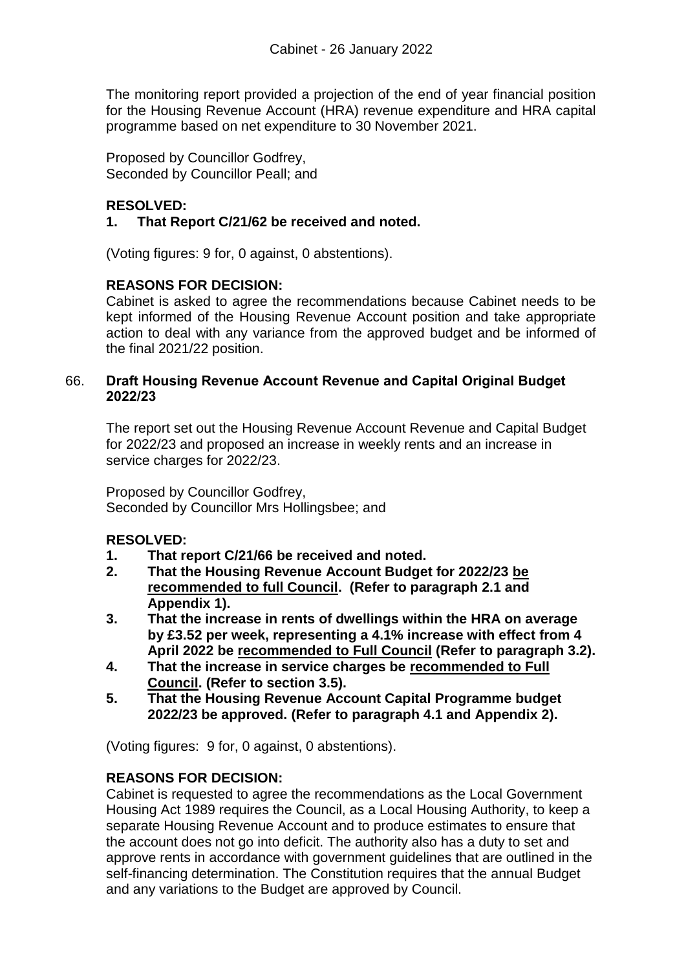The monitoring report provided a projection of the end of year financial position for the Housing Revenue Account (HRA) revenue expenditure and HRA capital programme based on net expenditure to 30 November 2021.

Proposed by Councillor Godfrey, Seconded by Councillor Peall; and

# **RESOLVED:**

# **1. That Report C/21/62 be received and noted.**

(Voting figures: 9 for, 0 against, 0 abstentions).

# **REASONS FOR DECISION:**

Cabinet is asked to agree the recommendations because Cabinet needs to be kept informed of the Housing Revenue Account position and take appropriate action to deal with any variance from the approved budget and be informed of the final 2021/22 position.

# 66. **Draft Housing Revenue Account Revenue and Capital Original Budget 2022/23**

The report set out the Housing Revenue Account Revenue and Capital Budget for 2022/23 and proposed an increase in weekly rents and an increase in service charges for 2022/23.

Proposed by Councillor Godfrey, Seconded by Councillor Mrs Hollingsbee; and

### **RESOLVED:**

- **1. That report C/21/66 be received and noted.**
- **2. That the Housing Revenue Account Budget for 2022/23 be recommended to full Council. (Refer to paragraph 2.1 and Appendix 1).**
- **3. That the increase in rents of dwellings within the HRA on average by £3.52 per week, representing a 4.1% increase with effect from 4 April 2022 be recommended to Full Council (Refer to paragraph 3.2).**
- **4. That the increase in service charges be recommended to Full Council. (Refer to section 3.5).**
- **5. That the Housing Revenue Account Capital Programme budget 2022/23 be approved. (Refer to paragraph 4.1 and Appendix 2).**

(Voting figures: 9 for, 0 against, 0 abstentions).

# **REASONS FOR DECISION:**

Cabinet is requested to agree the recommendations as the Local Government Housing Act 1989 requires the Council, as a Local Housing Authority, to keep a separate Housing Revenue Account and to produce estimates to ensure that the account does not go into deficit. The authority also has a duty to set and approve rents in accordance with government guidelines that are outlined in the self-financing determination. The Constitution requires that the annual Budget and any variations to the Budget are approved by Council.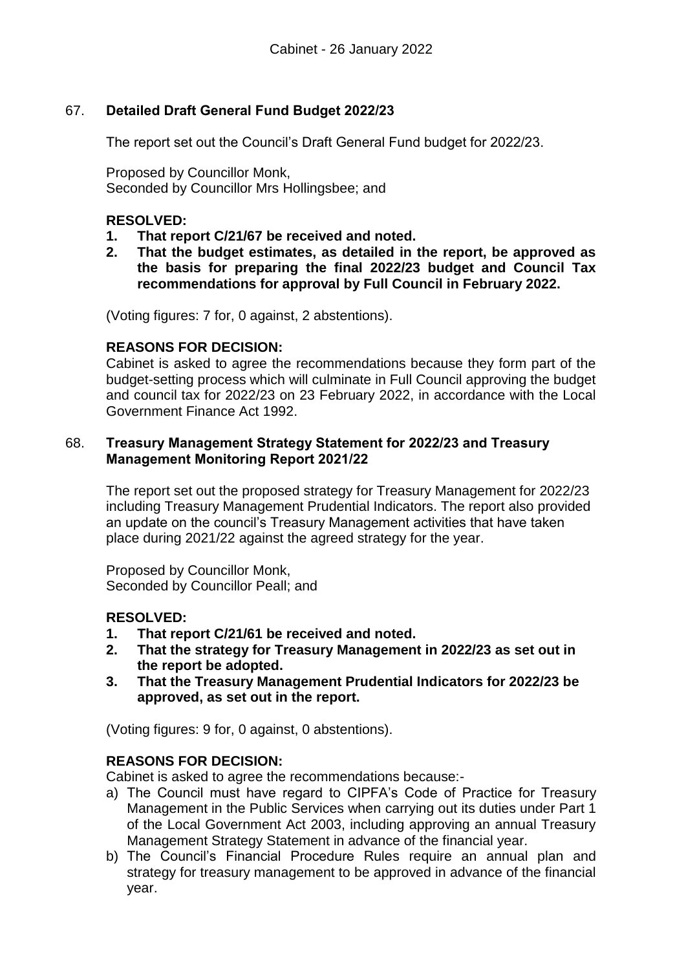# 67. **Detailed Draft General Fund Budget 2022/23**

The report set out the Council's Draft General Fund budget for 2022/23.

Proposed by Councillor Monk, Seconded by Councillor Mrs Hollingsbee; and

# **RESOLVED:**

- **1. That report C/21/67 be received and noted.**
- **2. That the budget estimates, as detailed in the report, be approved as the basis for preparing the final 2022/23 budget and Council Tax recommendations for approval by Full Council in February 2022.**

(Voting figures: 7 for, 0 against, 2 abstentions).

### **REASONS FOR DECISION:**

Cabinet is asked to agree the recommendations because they form part of the budget-setting process which will culminate in Full Council approving the budget and council tax for 2022/23 on 23 February 2022, in accordance with the Local Government Finance Act 1992.

#### 68. **Treasury Management Strategy Statement for 2022/23 and Treasury Management Monitoring Report 2021/22**

The report set out the proposed strategy for Treasury Management for 2022/23 including Treasury Management Prudential Indicators. The report also provided an update on the council's Treasury Management activities that have taken place during 2021/22 against the agreed strategy for the year.

Proposed by Councillor Monk, Seconded by Councillor Peall; and

### **RESOLVED:**

- **1. That report C/21/61 be received and noted.**
- **2. That the strategy for Treasury Management in 2022/23 as set out in the report be adopted.**
- **3. That the Treasury Management Prudential Indicators for 2022/23 be approved, as set out in the report.**

(Voting figures: 9 for, 0 against, 0 abstentions).

### **REASONS FOR DECISION:**

Cabinet is asked to agree the recommendations because:-

- a) The Council must have regard to CIPFA's Code of Practice for Treasury Management in the Public Services when carrying out its duties under Part 1 of the Local Government Act 2003, including approving an annual Treasury Management Strategy Statement in advance of the financial year.
- b) The Council's Financial Procedure Rules require an annual plan and strategy for treasury management to be approved in advance of the financial year.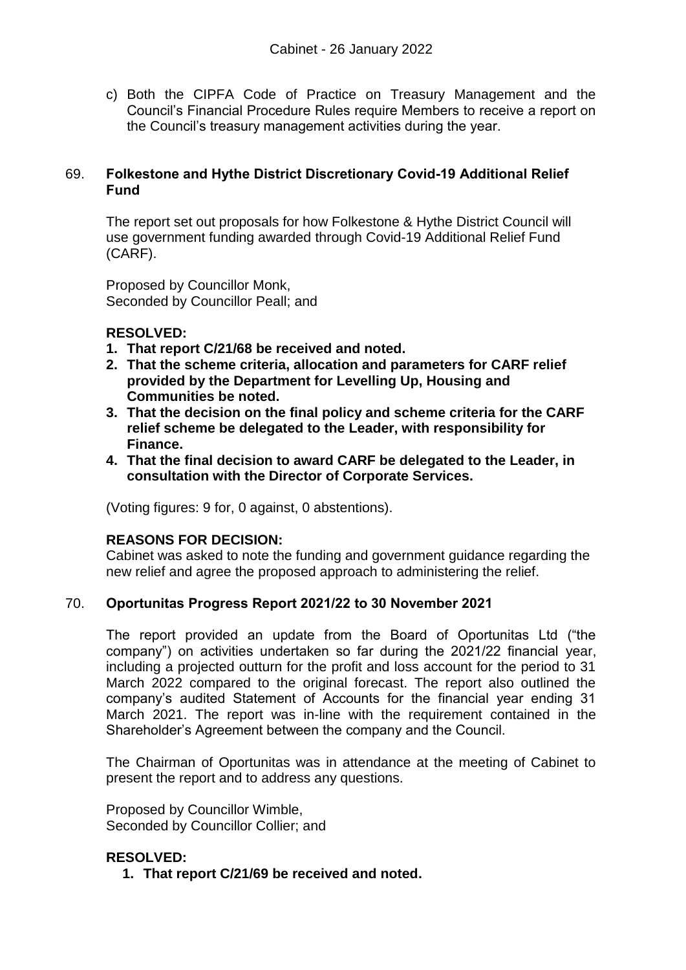c) Both the CIPFA Code of Practice on Treasury Management and the Council's Financial Procedure Rules require Members to receive a report on the Council's treasury management activities during the year.

# 69. **Folkestone and Hythe District Discretionary Covid-19 Additional Relief Fund**

The report set out proposals for how Folkestone & Hythe District Council will use government funding awarded through Covid-19 Additional Relief Fund (CARF).

Proposed by Councillor Monk, Seconded by Councillor Peall; and

# **RESOLVED:**

- **1. That report C/21/68 be received and noted.**
- **2. That the scheme criteria, allocation and parameters for CARF relief provided by the Department for Levelling Up, Housing and Communities be noted.**
- **3. That the decision on the final policy and scheme criteria for the CARF relief scheme be delegated to the Leader, with responsibility for Finance.**
- **4. That the final decision to award CARF be delegated to the Leader, in consultation with the Director of Corporate Services.**

(Voting figures: 9 for, 0 against, 0 abstentions).

# **REASONS FOR DECISION:**

Cabinet was asked to note the funding and government guidance regarding the new relief and agree the proposed approach to administering the relief.

### 70. **Oportunitas Progress Report 2021/22 to 30 November 2021**

The report provided an update from the Board of Oportunitas Ltd ("the company") on activities undertaken so far during the 2021/22 financial year, including a projected outturn for the profit and loss account for the period to 31 March 2022 compared to the original forecast. The report also outlined the company's audited Statement of Accounts for the financial year ending 31 March 2021. The report was in-line with the requirement contained in the Shareholder's Agreement between the company and the Council.

The Chairman of Oportunitas was in attendance at the meeting of Cabinet to present the report and to address any questions.

Proposed by Councillor Wimble, Seconded by Councillor Collier; and

# **RESOLVED:**

**1. That report C/21/69 be received and noted.**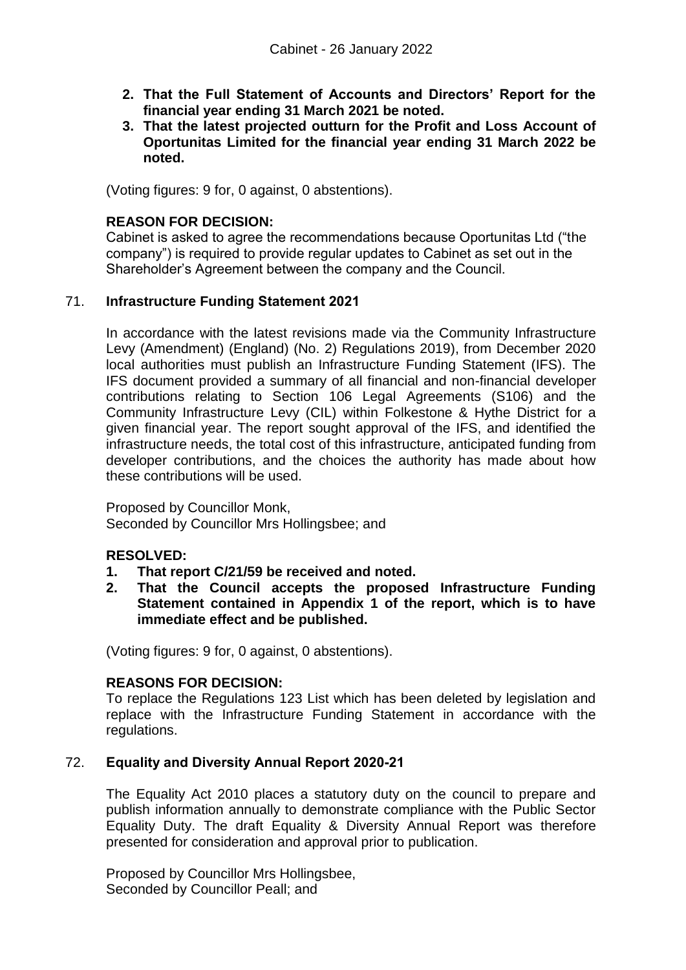- **2. That the Full Statement of Accounts and Directors' Report for the financial year ending 31 March 2021 be noted.**
- **3. That the latest projected outturn for the Profit and Loss Account of Oportunitas Limited for the financial year ending 31 March 2022 be noted.**

(Voting figures: 9 for, 0 against, 0 abstentions).

# **REASON FOR DECISION:**

Cabinet is asked to agree the recommendations because Oportunitas Ltd ("the company") is required to provide regular updates to Cabinet as set out in the Shareholder's Agreement between the company and the Council.

# 71. **Infrastructure Funding Statement 2021**

In accordance with the latest revisions made via the Community Infrastructure Levy (Amendment) (England) (No. 2) Regulations 2019), from December 2020 local authorities must publish an Infrastructure Funding Statement (IFS). The IFS document provided a summary of all financial and non-financial developer contributions relating to Section 106 Legal Agreements (S106) and the Community Infrastructure Levy (CIL) within Folkestone & Hythe District for a given financial year. The report sought approval of the IFS, and identified the infrastructure needs, the total cost of this infrastructure, anticipated funding from developer contributions, and the choices the authority has made about how these contributions will be used.

Proposed by Councillor Monk, Seconded by Councillor Mrs Hollingsbee; and

### **RESOLVED:**

- **1. That report C/21/59 be received and noted.**
- **2. That the Council accepts the proposed Infrastructure Funding Statement contained in Appendix 1 of the report, which is to have immediate effect and be published.**

(Voting figures: 9 for, 0 against, 0 abstentions).

### **REASONS FOR DECISION:**

To replace the Regulations 123 List which has been deleted by legislation and replace with the Infrastructure Funding Statement in accordance with the regulations.

### 72. **Equality and Diversity Annual Report 2020-21**

The Equality Act 2010 places a statutory duty on the council to prepare and publish information annually to demonstrate compliance with the Public Sector Equality Duty. The draft Equality & Diversity Annual Report was therefore presented for consideration and approval prior to publication.

Proposed by Councillor Mrs Hollingsbee, Seconded by Councillor Peall; and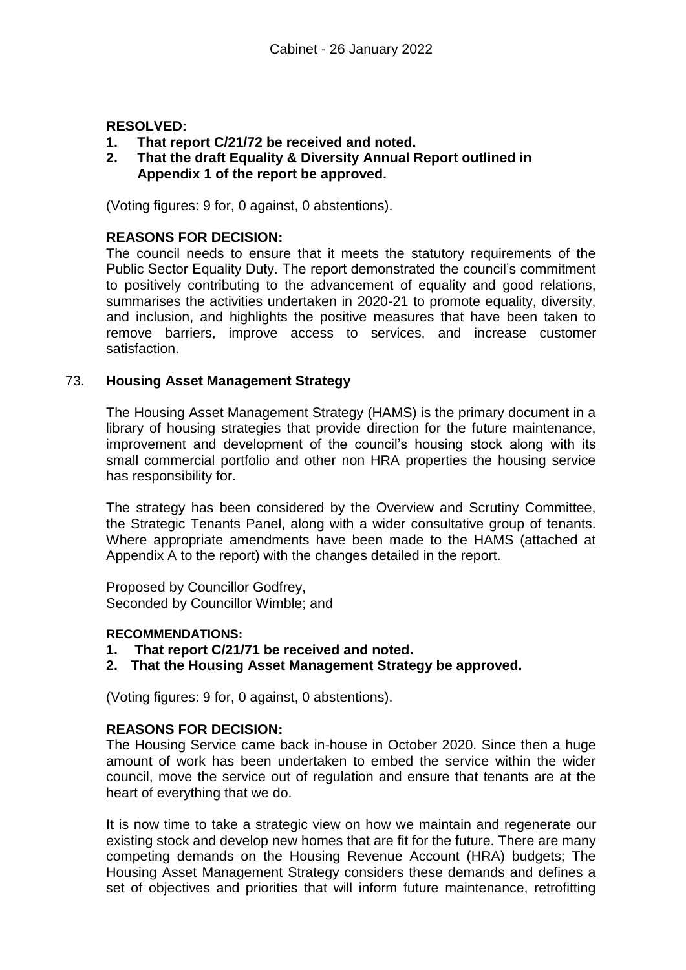# **RESOLVED:**

- **1. That report C/21/72 be received and noted.**
- **2. That the draft Equality & Diversity Annual Report outlined in Appendix 1 of the report be approved.**

(Voting figures: 9 for, 0 against, 0 abstentions).

# **REASONS FOR DECISION:**

The council needs to ensure that it meets the statutory requirements of the Public Sector Equality Duty. The report demonstrated the council's commitment to positively contributing to the advancement of equality and good relations, summarises the activities undertaken in 2020-21 to promote equality, diversity, and inclusion, and highlights the positive measures that have been taken to remove barriers, improve access to services, and increase customer satisfaction.

# 73. **Housing Asset Management Strategy**

The Housing Asset Management Strategy (HAMS) is the primary document in a library of housing strategies that provide direction for the future maintenance, improvement and development of the council's housing stock along with its small commercial portfolio and other non HRA properties the housing service has responsibility for.

The strategy has been considered by the Overview and Scrutiny Committee, the Strategic Tenants Panel, along with a wider consultative group of tenants. Where appropriate amendments have been made to the HAMS (attached at Appendix A to the report) with the changes detailed in the report.

Proposed by Councillor Godfrey, Seconded by Councillor Wimble; and

### **RECOMMENDATIONS:**

- **1. That report C/21/71 be received and noted.**
- **2. That the Housing Asset Management Strategy be approved.**

(Voting figures: 9 for, 0 against, 0 abstentions).

### **REASONS FOR DECISION:**

The Housing Service came back in-house in October 2020. Since then a huge amount of work has been undertaken to embed the service within the wider council, move the service out of regulation and ensure that tenants are at the heart of everything that we do.

It is now time to take a strategic view on how we maintain and regenerate our existing stock and develop new homes that are fit for the future. There are many competing demands on the Housing Revenue Account (HRA) budgets; The Housing Asset Management Strategy considers these demands and defines a set of objectives and priorities that will inform future maintenance, retrofitting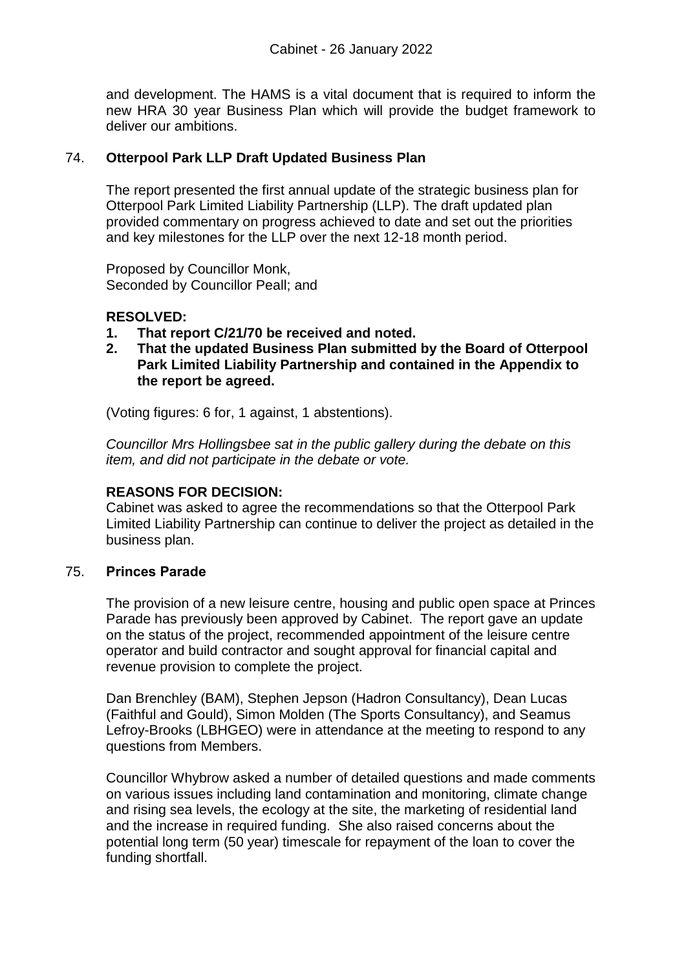and development. The HAMS is a vital document that is required to inform the new HRA 30 year Business Plan which will provide the budget framework to deliver our ambitions.

# 74. **Otterpool Park LLP Draft Updated Business Plan**

The report presented the first annual update of the strategic business plan for Otterpool Park Limited Liability Partnership (LLP). The draft updated plan provided commentary on progress achieved to date and set out the priorities and key milestones for the LLP over the next 12-18 month period.

Proposed by Councillor Monk, Seconded by Councillor Peall; and

# **RESOLVED:**

- **1. That report C/21/70 be received and noted.**
- **2. That the updated Business Plan submitted by the Board of Otterpool Park Limited Liability Partnership and contained in the Appendix to the report be agreed.**

(Voting figures: 6 for, 1 against, 1 abstentions).

*Councillor Mrs Hollingsbee sat in the public gallery during the debate on this item, and did not participate in the debate or vote.* 

# **REASONS FOR DECISION:**

Cabinet was asked to agree the recommendations so that the Otterpool Park Limited Liability Partnership can continue to deliver the project as detailed in the business plan.

### 75. **Princes Parade**

The provision of a new leisure centre, housing and public open space at Princes Parade has previously been approved by Cabinet. The report gave an update on the status of the project, recommended appointment of the leisure centre operator and build contractor and sought approval for financial capital and revenue provision to complete the project.

Dan Brenchley (BAM), Stephen Jepson (Hadron Consultancy), Dean Lucas (Faithful and Gould), Simon Molden (The Sports Consultancy), and Seamus Lefroy-Brooks (LBHGEO) were in attendance at the meeting to respond to any questions from Members.

Councillor Whybrow asked a number of detailed questions and made comments on various issues including land contamination and monitoring, climate change and rising sea levels, the ecology at the site, the marketing of residential land and the increase in required funding. She also raised concerns about the potential long term (50 year) timescale for repayment of the loan to cover the funding shortfall.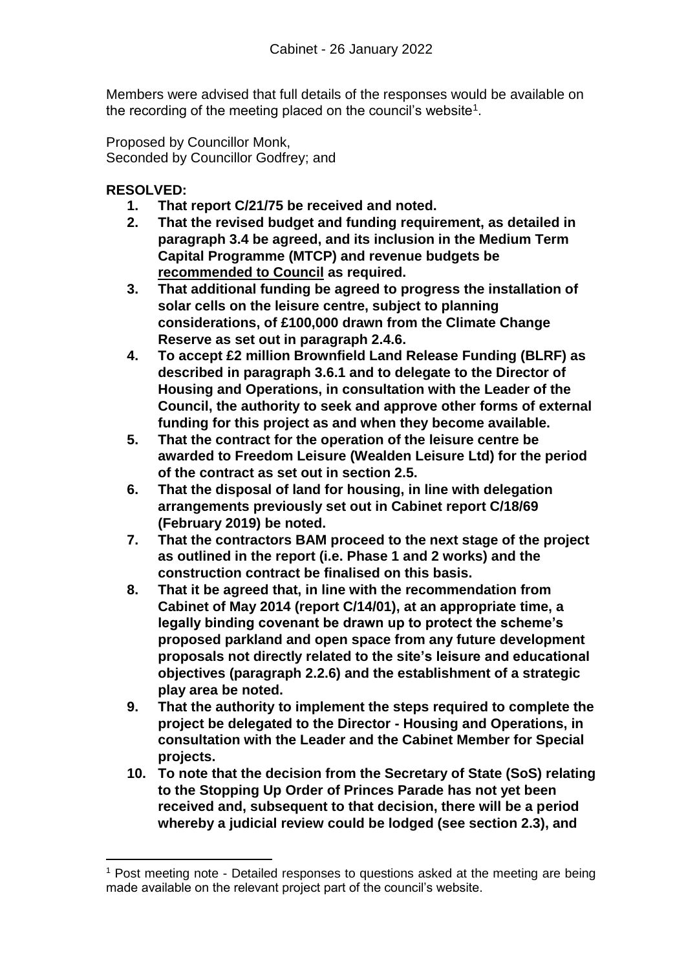Members were advised that full details of the responses would be available on the recording of the meeting placed on the council's website<sup>1</sup>.

Proposed by Councillor Monk, Seconded by Councillor Godfrey; and

# **RESOLVED:**

l

- **1. That report C/21/75 be received and noted.**
- **2. That the revised budget and funding requirement, as detailed in paragraph 3.4 be agreed, and its inclusion in the Medium Term Capital Programme (MTCP) and revenue budgets be recommended to Council as required.**
- **3. That additional funding be agreed to progress the installation of solar cells on the leisure centre, subject to planning considerations, of £100,000 drawn from the Climate Change Reserve as set out in paragraph 2.4.6.**
- **4. To accept £2 million Brownfield Land Release Funding (BLRF) as described in paragraph 3.6.1 and to delegate to the Director of Housing and Operations, in consultation with the Leader of the Council, the authority to seek and approve other forms of external funding for this project as and when they become available.**
- **5. That the contract for the operation of the leisure centre be awarded to Freedom Leisure (Wealden Leisure Ltd) for the period of the contract as set out in section 2.5.**
- **6. That the disposal of land for housing, in line with delegation arrangements previously set out in Cabinet report C/18/69 (February 2019) be noted.**
- **7. That the contractors BAM proceed to the next stage of the project as outlined in the report (i.e. Phase 1 and 2 works) and the construction contract be finalised on this basis.**
- **8. That it be agreed that, in line with the recommendation from Cabinet of May 2014 (report C/14/01), at an appropriate time, a legally binding covenant be drawn up to protect the scheme's proposed parkland and open space from any future development proposals not directly related to the site's leisure and educational objectives (paragraph 2.2.6) and the establishment of a strategic play area be noted.**
- **9. That the authority to implement the steps required to complete the project be delegated to the Director - Housing and Operations, in consultation with the Leader and the Cabinet Member for Special projects.**
- **10. To note that the decision from the Secretary of State (SoS) relating to the Stopping Up Order of Princes Parade has not yet been received and, subsequent to that decision, there will be a period whereby a judicial review could be lodged (see section 2.3), and**

<sup>1</sup> Post meeting note - Detailed responses to questions asked at the meeting are being made available on the relevant project part of the council's website.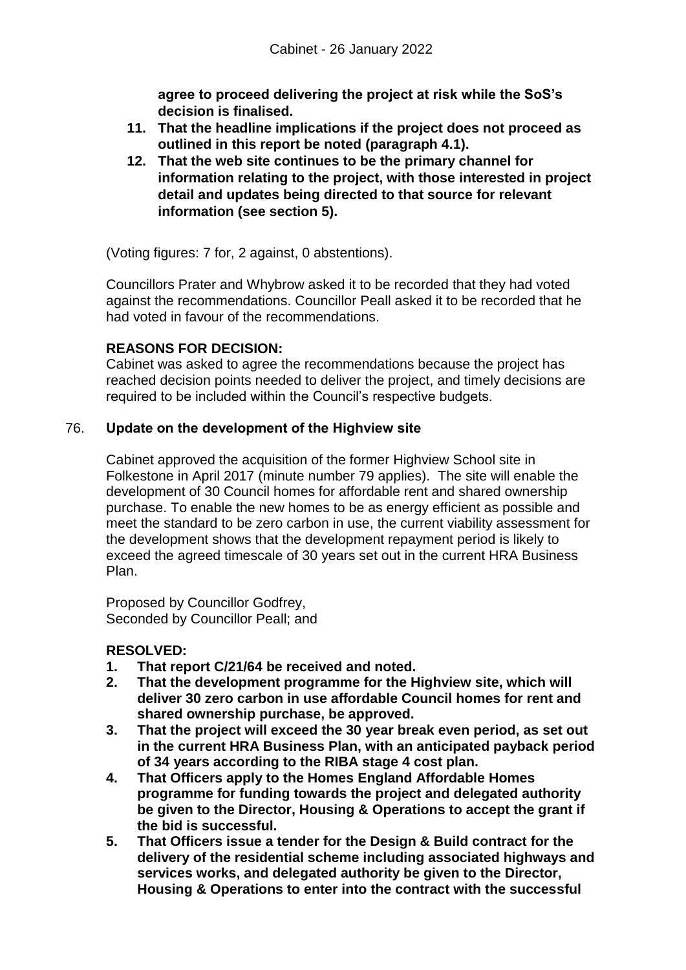**agree to proceed delivering the project at risk while the SoS's decision is finalised.**

- **11. That the headline implications if the project does not proceed as outlined in this report be noted (paragraph 4.1).**
- **12. That the web site continues to be the primary channel for information relating to the project, with those interested in project detail and updates being directed to that source for relevant information (see section 5).**

(Voting figures: 7 for, 2 against, 0 abstentions).

Councillors Prater and Whybrow asked it to be recorded that they had voted against the recommendations. Councillor Peall asked it to be recorded that he had voted in favour of the recommendations.

# **REASONS FOR DECISION:**

Cabinet was asked to agree the recommendations because the project has reached decision points needed to deliver the project, and timely decisions are required to be included within the Council's respective budgets.

# 76. **Update on the development of the Highview site**

Cabinet approved the acquisition of the former Highview School site in Folkestone in April 2017 (minute number 79 applies). The site will enable the development of 30 Council homes for affordable rent and shared ownership purchase. To enable the new homes to be as energy efficient as possible and meet the standard to be zero carbon in use, the current viability assessment for the development shows that the development repayment period is likely to exceed the agreed timescale of 30 years set out in the current HRA Business Plan.

Proposed by Councillor Godfrey, Seconded by Councillor Peall; and

# **RESOLVED:**

- **1. That report C/21/64 be received and noted.**
- **2. That the development programme for the Highview site, which will deliver 30 zero carbon in use affordable Council homes for rent and shared ownership purchase, be approved.**
- **3. That the project will exceed the 30 year break even period, as set out in the current HRA Business Plan, with an anticipated payback period of 34 years according to the RIBA stage 4 cost plan.**
- **4. That Officers apply to the Homes England Affordable Homes programme for funding towards the project and delegated authority be given to the Director, Housing & Operations to accept the grant if the bid is successful.**
- **5. That Officers issue a tender for the Design & Build contract for the delivery of the residential scheme including associated highways and services works, and delegated authority be given to the Director, Housing & Operations to enter into the contract with the successful**